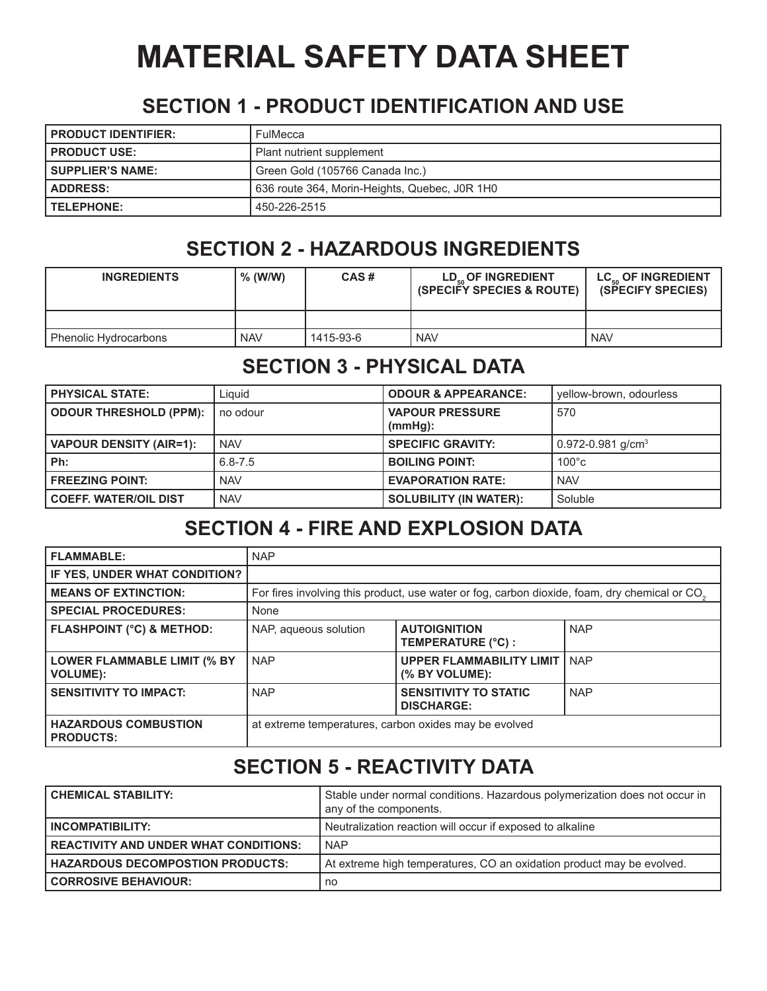# **MATERIAL SAFETY DATA SHEET**

#### **SECTION 1 - PRODUCT IDENTIFICATION AND USE**

| <b>PRODUCT IDENTIFIER:</b> | FulMecca                                      |
|----------------------------|-----------------------------------------------|
| <b>PRODUCT USE:</b>        | Plant nutrient supplement                     |
| <b>SUPPLIER'S NAME:</b>    | Green Gold (105766 Canada Inc.)               |
| <b>ADDRESS:</b>            | 636 route 364, Morin-Heights, Quebec, J0R 1H0 |
| <b>TELEPHONE:</b>          | 450-226-2515                                  |

## **SECTION 2 - HAZARDOUS INGREDIENTS**

| <b>INGREDIENTS</b>    | $%$ (W/W)  | CAS#      | LD <sub>50</sub> OF INGREDIENT<br><b>(SPECIFY SPECIES &amp; ROUTE)</b> | LC OF INGREDIENT<br><b>(SPECIFY SPECIES)</b> |
|-----------------------|------------|-----------|------------------------------------------------------------------------|----------------------------------------------|
|                       |            |           |                                                                        |                                              |
| Phenolic Hydrocarbons | <b>NAV</b> | 1415-93-6 | <b>NAV</b>                                                             | <b>NAV</b>                                   |

## **SECTION 3 - PHYSICAL DATA**

| <b>PHYSICAL STATE:</b>         | Liguid      | <b>ODOUR &amp; APPEARANCE:</b>       | vellow-brown, odourless       |
|--------------------------------|-------------|--------------------------------------|-------------------------------|
| <b>ODOUR THRESHOLD (PPM):</b>  | no odour    | <b>VAPOUR PRESSURE</b><br>$(mmHq)$ : | 570                           |
| <b>VAPOUR DENSITY (AIR=1):</b> | <b>NAV</b>  | <b>SPECIFIC GRAVITY:</b>             | 0.972-0.981 g/cm <sup>3</sup> |
| Ph:                            | $6.8 - 7.5$ | <b>BOILING POINT:</b>                | $100^{\circ}$ c               |
| <b>FREEZING POINT:</b>         | <b>NAV</b>  | <b>EVAPORATION RATE:</b>             | <b>NAV</b>                    |
| <b>COEFF. WATER/OIL DIST</b>   | <b>NAV</b>  | <b>SOLUBILITY (IN WATER):</b>        | Soluble                       |

#### **SECTION 4 - FIRE AND EXPLOSION DATA**

| <b>FLAMMABLE:</b>                                     | <b>NAP</b>                                            |                                                                                                           |            |
|-------------------------------------------------------|-------------------------------------------------------|-----------------------------------------------------------------------------------------------------------|------------|
| IF YES, UNDER WHAT CONDITION?                         |                                                       |                                                                                                           |            |
| <b>MEANS OF EXTINCTION:</b>                           |                                                       | For fires involving this product, use water or fog, carbon dioxide, foam, dry chemical or CO <sub>2</sub> |            |
| <b>SPECIAL PROCEDURES:</b>                            | None                                                  |                                                                                                           |            |
| <b>FLASHPOINT (°C) &amp; METHOD:</b>                  | NAP, aqueous solution                                 | <b>AUTOIGNITION</b><br>TEMPERATURE (°C) :                                                                 | <b>NAP</b> |
| <b>LOWER FLAMMABLE LIMIT (% BY</b><br><b>VOLUME):</b> | <b>NAP</b>                                            | <b>UPPER FLAMMABILITY LIMIT</b><br>(% BY VOLUME):                                                         | <b>NAP</b> |
| <b>SENSITIVITY TO IMPACT:</b>                         | <b>NAP</b>                                            | <b>SENSITIVITY TO STATIC</b><br><b>DISCHARGE:</b>                                                         | <b>NAP</b> |
| <b>HAZARDOUS COMBUSTION</b><br><b>PRODUCTS:</b>       | at extreme temperatures, carbon oxides may be evolved |                                                                                                           |            |

## **SECTION 5 - REACTIVITY DATA**

| <b>CHEMICAL STABILITY:</b>                   | Stable under normal conditions. Hazardous polymerization does not occur in<br>any of the components. |
|----------------------------------------------|------------------------------------------------------------------------------------------------------|
| <b>INCOMPATIBILITY:</b>                      | Neutralization reaction will occur if exposed to alkaline                                            |
| <b>REACTIVITY AND UNDER WHAT CONDITIONS:</b> | <b>NAP</b>                                                                                           |
| <b>HAZARDOUS DECOMPOSTION PRODUCTS:</b>      | At extreme high temperatures, CO an oxidation product may be evolved.                                |
| <b>CORROSIVE BEHAVIOUR:</b>                  | no                                                                                                   |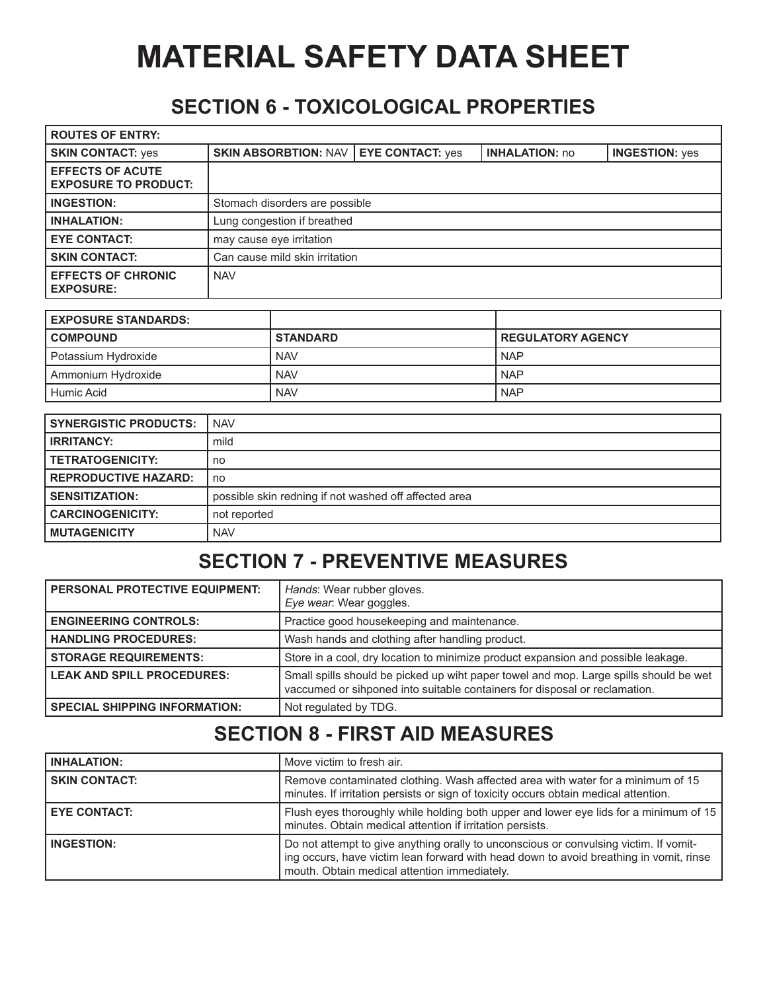# **MATERIAL SAFETY DATA SHEET**

### **SECTION 6 - TOXICOLOGICAL PROPERTIES**

| <b>ROUTES OF ENTRY:</b>                                |                                |                         |                       |                       |
|--------------------------------------------------------|--------------------------------|-------------------------|-----------------------|-----------------------|
| <b>SKIN CONTACT: yes</b>                               | <b>SKIN ABSORBTION: NAV  </b>  | <b>EYE CONTACT: yes</b> | <b>INHALATION: no</b> | <b>INGESTION: yes</b> |
| <b>EFFECTS OF ACUTE</b><br><b>EXPOSURE TO PRODUCT:</b> |                                |                         |                       |                       |
| <b>INGESTION:</b>                                      | Stomach disorders are possible |                         |                       |                       |
| <b>INHALATION:</b>                                     | Lung congestion if breathed    |                         |                       |                       |
| <b>EYE CONTACT:</b>                                    | may cause eye irritation       |                         |                       |                       |
| <b>SKIN CONTACT:</b>                                   | Can cause mild skin irritation |                         |                       |                       |
| <b>EFFECTS OF CHRONIC</b><br><b>EXPOSURE:</b>          | <b>NAV</b>                     |                         |                       |                       |

| <b>EXPOSURE STANDARDS:</b> |                 |                          |
|----------------------------|-----------------|--------------------------|
| <b>COMPOUND</b>            | <b>STANDARD</b> | <b>REGULATORY AGENCY</b> |
| Potassium Hydroxide        | <b>NAV</b>      | <b>NAP</b>               |
| Ammonium Hydroxide         | <b>NAV</b>      | <b>NAP</b>               |
| l Humic Acid               | <b>NAV</b>      | <b>NAP</b>               |

| <b>SYNERGISTIC PRODUCTS:</b> | <b>NAV</b>                                            |
|------------------------------|-------------------------------------------------------|
| <b>IRRITANCY:</b>            | mild                                                  |
| <b>TETRATOGENICITY:</b>      | no                                                    |
| <b>REPRODUCTIVE HAZARD:</b>  | no                                                    |
| <b>SENSITIZATION:</b>        | possible skin redning if not washed off affected area |
| <b>CARCINOGENICITY:</b>      | not reported                                          |
| <b>MUTAGENICITY</b>          | <b>NAV</b>                                            |

## **SECTION 7 - PREVENTIVE MEASURES**

| <b>PERSONAL PROTECTIVE EQUIPMENT:</b> | Hands: Wear rubber gloves.<br>Eye wear: Wear goggles.                                                                                                               |
|---------------------------------------|---------------------------------------------------------------------------------------------------------------------------------------------------------------------|
| <b>ENGINEERING CONTROLS:</b>          | Practice good housekeeping and maintenance.                                                                                                                         |
| <b>HANDLING PROCEDURES:</b>           | Wash hands and clothing after handling product.                                                                                                                     |
| <b>STORAGE REQUIREMENTS:</b>          | Store in a cool, dry location to minimize product expansion and possible leakage.                                                                                   |
| <b>LEAK AND SPILL PROCEDURES:</b>     | Small spills should be picked up wiht paper towel and mop. Large spills should be wet<br>vaccumed or sihponed into suitable containers for disposal or reclamation. |
| <b>SPECIAL SHIPPING INFORMATION:</b>  | Not regulated by TDG.                                                                                                                                               |

### **SECTION 8 - FIRST AID MEASURES**

| <b>INHALATION:</b>   | Move victim to fresh air.                                                                                                                                                                                                       |
|----------------------|---------------------------------------------------------------------------------------------------------------------------------------------------------------------------------------------------------------------------------|
| <b>SKIN CONTACT:</b> | Remove contaminated clothing. Wash affected area with water for a minimum of 15<br>minutes. If irritation persists or sign of toxicity occurs obtain medical attention.                                                         |
| <b>EYE CONTACT:</b>  | Flush eyes thoroughly while holding both upper and lower eye lids for a minimum of 15<br>minutes. Obtain medical attention if irritation persists.                                                                              |
| <b>INGESTION:</b>    | Do not attempt to give anything orally to unconscious or convulsing victim. If vomit-<br>ing occurs, have victim lean forward with head down to avoid breathing in vomit, rinse<br>mouth. Obtain medical attention immediately. |